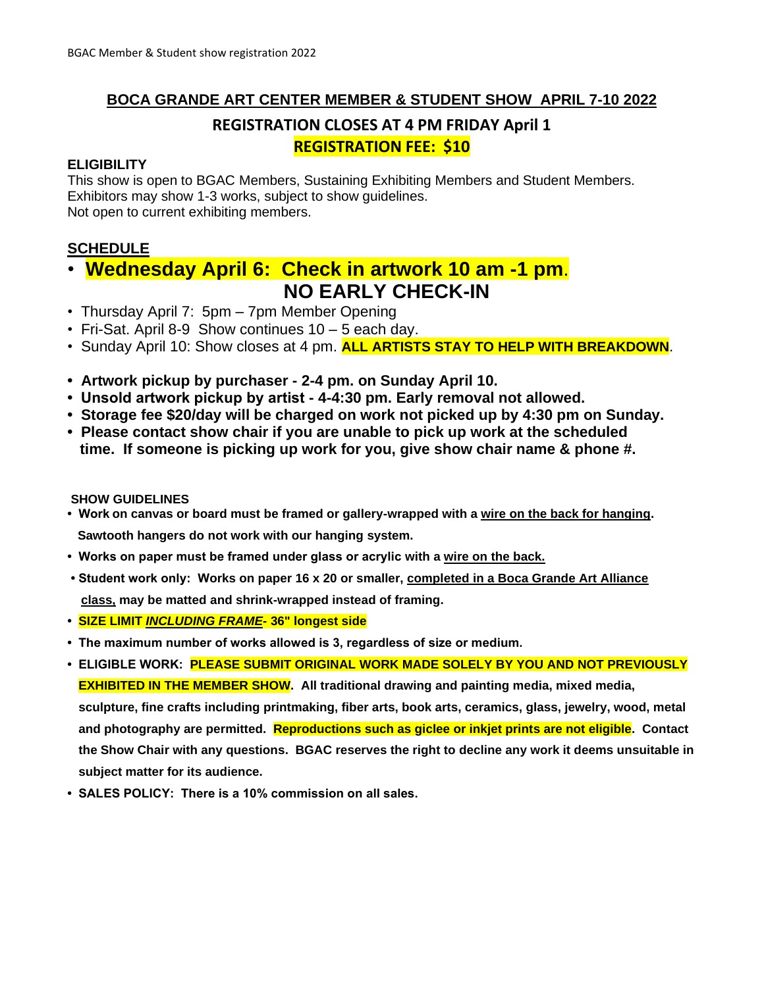# **BOCA GRANDE ART CENTER MEMBER & STUDENT SHOW APRIL 7-10 2022**

# **REGISTRATION CLOSES AT 4 PM FRIDAY April 1 REGISTRATION FEE: \$10**

#### **ELIGIBILITY**

This show is open to BGAC Members, Sustaining Exhibiting Members and Student Members. Exhibitors may show 1-3 works, subject to show guidelines. Not open to current exhibiting members.

# **SCHEDULE**

# • **Wednesday April 6: Check in artwork 10 am -1 pm**.  **NO EARLY CHECK-IN**

- Thursday April 7: 5pm 7pm Member Opening
- Fri-Sat. April 8-9 Show continues 10 5 each day.
- Sunday April 10: Show closes at 4 pm. **ALL ARTISTS STAY TO HELP WITH BREAKDOWN**.
- **Artwork pickup by purchaser - 2-4 pm. on Sunday April 10.**
- **Unsold artwork pickup by artist - 4-4:30 pm. Early removal not allowed.**
- **Storage fee \$20/day will be charged on work not picked up by 4:30 pm on Sunday.**
- **Please contact show chair if you are unable to pick up work at the scheduled time. If someone is picking up work for you, give show chair name & phone #.**

#### **SHOW GUIDELINES**

- **Work on canvas or board must be framed or gallery-wrapped with a wire on the back for hanging. Sawtooth hangers do not work with our hanging system.**
- **Works on paper must be framed under glass or acrylic with a wire on the back.**
- **Student work only: Works on paper 16 x 20 or smaller, completed in a Boca Grande Art Alliance class, may be matted and shrink-wrapped instead of framing.**
- **SIZE LIMIT** *INCLUDING FRAME***- 36" longest side**
- **The maximum number of works allowed is 3, regardless of size or medium.**
- **ELIGIBLE WORK: PLEASE SUBMIT ORIGINAL WORK MADE SOLELY BY YOU AND NOT PREVIOUSLY EXHIBITED IN THE MEMBER SHOW.** All traditional drawing and painting media, mixed media, **sculpture, fine crafts including printmaking, fiber arts, book arts, ceramics, glass, jewelry, wood, metal and photography are permitted. Reproductions such as giclee or inkjet prints are not eligible. Contact the Show Chair with any questions. BGAC reserves the right to decline any work it deems unsuitable in subject matter for its audience.**
- **SALES POLICY: There is a 10% commission on all sales.**